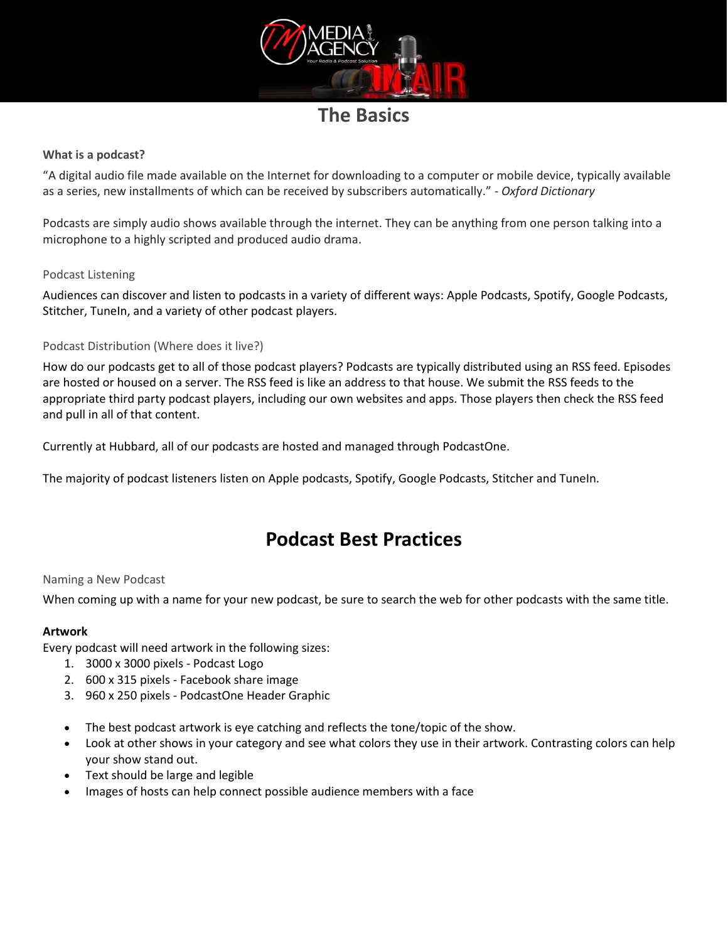

## **The Basics**

### **What is a podcast?**

"A digital audio file made available on the Internet for downloading to a computer or mobile device, typically available as a series, new installments of which can be received by subscribers automatically." - *Oxford Dictionary*

Podcasts are simply audio shows available through the internet. They can be anything from one person talking into a microphone to a highly scripted and produced audio drama.

#### Podcast Listening

Audiences can discover and listen to podcasts in a variety of different ways: Apple Podcasts, Spotify, Google Podcasts, Stitcher, TuneIn, and a variety of other podcast players.

#### Podcast Distribution (Where does it live?)

How do our podcasts get to all of those podcast players? Podcasts are typically distributed using an RSS feed. Episodes are hosted or housed on a server. The RSS feed is like an address to that house. We submit the RSS feeds to the appropriate third party podcast players, including our own websites and apps. Those players then check the RSS feed and pull in all of that content.

Currently at Hubbard, all of our podcasts are hosted and managed through PodcastOne.

The majority of podcast listeners listen on Apple podcasts, Spotify, Google Podcasts, Stitcher and TuneIn.

# **Podcast Best Practices**

#### Naming a New Podcast

When coming up with a name for your new podcast, be sure to search the web for other podcasts with the same title.

#### **Artwork**

Every podcast will need artwork in the following sizes:

- 1. 3000 x 3000 pixels Podcast Logo
- 2. 600 x 315 pixels Facebook share image
- 3. 960 x 250 pixels PodcastOne Header Graphic
- The best podcast artwork is eye catching and reflects the tone/topic of the show.
- Look at other shows in your category and see what colors they use in their artwork. Contrasting colors can help your show stand out.
- Text should be large and legible
- Images of hosts can help connect possible audience members with a face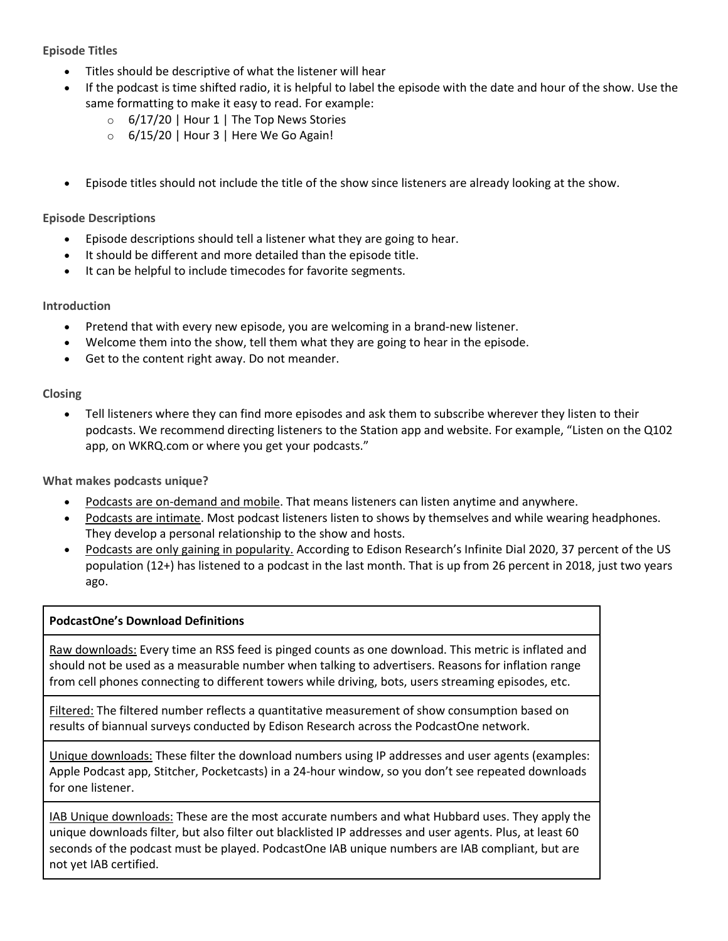### **Episode Titles**

- Titles should be descriptive of what the listener will hear
- If the podcast is time shifted radio, it is helpful to label the episode with the date and hour of the show. Use the same formatting to make it easy to read. For example:
	- $\circ$  6/17/20 | Hour 1 | The Top News Stories
	- $\circ$  6/15/20 | Hour 3 | Here We Go Again!
- Episode titles should not include the title of the show since listeners are already looking at the show.

#### **Episode Descriptions**

- Episode descriptions should tell a listener what they are going to hear.
- It should be different and more detailed than the episode title.
- It can be helpful to include timecodes for favorite segments.

### **Introduction**

- Pretend that with every new episode, you are welcoming in a brand-new listener.
- Welcome them into the show, tell them what they are going to hear in the episode.
- Get to the content right away. Do not meander.

#### **Closing**

• Tell listeners where they can find more episodes and ask them to subscribe wherever they listen to their podcasts. We recommend directing listeners to the Station app and website. For example, "Listen on the Q102 app, on WKRQ.com or where you get your podcasts."

**What makes podcasts unique?**

- Podcasts are on-demand and mobile. That means listeners can listen anytime and anywhere.
- Podcasts are intimate. Most podcast listeners listen to shows by themselves and while wearing headphones. They develop a personal relationship to the show and hosts.
- Podcasts are only gaining in popularity. According to Edison Research's Infinite Dial 2020, 37 percent of the US population (12+) has listened to a podcast in the last month. That is up from 26 percent in 2018, just two years ago.

#### **PodcastOne's Download Definitions**

Raw downloads: Every time an RSS feed is pinged counts as one download. This metric is inflated and should not be used as a measurable number when talking to advertisers. Reasons for inflation range from cell phones connecting to different towers while driving, bots, users streaming episodes, etc.

Filtered: The filtered number reflects a quantitative measurement of show consumption based on results of biannual surveys conducted by Edison Research across the PodcastOne network.

Unique downloads: These filter the download numbers using IP addresses and user agents (examples: Apple Podcast app, Stitcher, Pocketcasts) in a 24-hour window, so you don't see repeated downloads for one listener.

IAB Unique downloads: These are the most accurate numbers and what Hubbard uses. They apply the unique downloads filter, but also filter out blacklisted IP addresses and user agents. Plus, at least 60 seconds of the podcast must be played. PodcastOne IAB unique numbers are IAB compliant, but are not yet IAB certified.